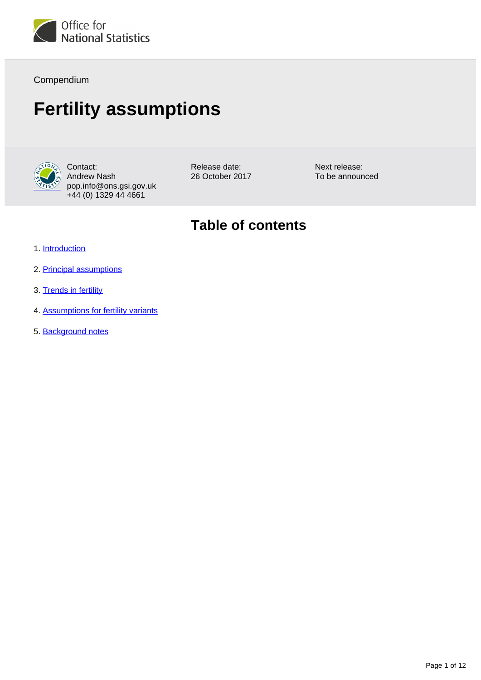

Compendium

# **Fertility assumptions**



Contact: Andrew Nash pop.info@ons.gsi.gov.uk +44 (0) 1329 44 4661

Release date: 26 October 2017 Next release: To be announced

## **Table of contents**

- 1. [Introduction](#page-1-0)
- 2. [Principal assumptions](#page-1-1)
- 3. [Trends in fertility](#page-3-0)
- 4. [Assumptions for fertility variants](#page-9-0)
- 5. [Background notes](#page-10-0)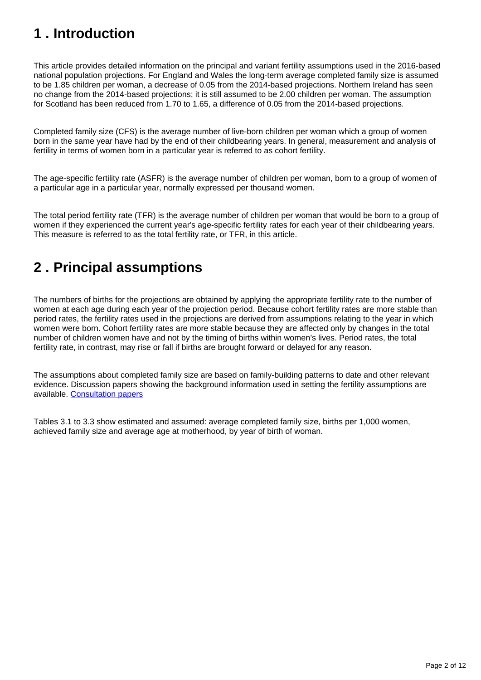# <span id="page-1-0"></span>**1 . Introduction**

This article provides detailed information on the principal and variant fertility assumptions used in the 2016-based national population projections. For England and Wales the long-term average completed family size is assumed to be 1.85 children per woman, a decrease of 0.05 from the 2014-based projections. Northern Ireland has seen no change from the 2014-based projections; it is still assumed to be 2.00 children per woman. The assumption for Scotland has been reduced from 1.70 to 1.65, a difference of 0.05 from the 2014-based projections.

Completed family size (CFS) is the average number of live-born children per woman which a group of women born in the same year have had by the end of their childbearing years. In general, measurement and analysis of fertility in terms of women born in a particular year is referred to as cohort fertility.

The age-specific fertility rate (ASFR) is the average number of children per woman, born to a group of women of a particular age in a particular year, normally expressed per thousand women.

The total period fertility rate (TFR) is the average number of children per woman that would be born to a group of women if they experienced the current year's age-specific fertility rates for each year of their childbearing years. This measure is referred to as the total fertility rate, or TFR, in this article.

# <span id="page-1-1"></span>**2 . Principal assumptions**

The numbers of births for the projections are obtained by applying the appropriate fertility rate to the number of women at each age during each year of the projection period. Because cohort fertility rates are more stable than period rates, the fertility rates used in the projections are derived from assumptions relating to the year in which women were born. Cohort fertility rates are more stable because they are affected only by changes in the total number of children women have and not by the timing of births within women's lives. Period rates, the total fertility rate, in contrast, may rise or fall if births are brought forward or delayed for any reason.

The assumptions about completed family size are based on family-building patterns to date and other relevant evidence. Discussion papers showing the background information used in setting the fertility assumptions are available. [Consultation papers](https://www.ons.gov.uk/peoplepopulationandcommunity/populationandmigration/populationprojections/methodologies/2016basednationalpopulationprojectionsconsultationpapers#2016-based-national-population-projections-consultation-papers)

Tables 3.1 to 3.3 show estimated and assumed: average completed family size, births per 1,000 women, achieved family size and average age at motherhood, by year of birth of woman.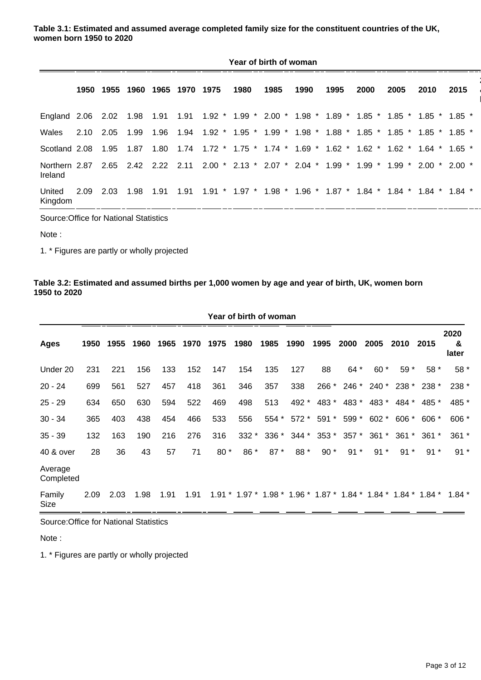**Table 3.1: Estimated and assumed average completed family size for the constituent countries of the UK, women born 1950 to 2020**

|                             | Year of birth of woman |      |      |      |                               |  |      |      |      |                                                                                                           |      |      |      |      |
|-----------------------------|------------------------|------|------|------|-------------------------------|--|------|------|------|-----------------------------------------------------------------------------------------------------------|------|------|------|------|
|                             |                        |      |      |      | 1950 1955 1960 1965 1970 1975 |  | 1980 | 1985 | 1990 | 1995                                                                                                      | 2000 | 2005 | 2010 | 2015 |
| England 2.06 2.02 1.98 1.91 |                        |      |      |      |                               |  |      |      |      | $1.91$ $1.92$ $*$ $1.99$ $*$ $2.00$ $*$ $1.98$ $*$ $1.89$ $*$ $1.85$ $*$ $1.85$ $*$ $1.85$ $*$ $1.85$ $*$ |      |      |      |      |
| Wales                       | 2.10                   | 2.05 | 1.99 | 1.96 |                               |  |      |      |      | 1.94  1.92 * 1.95 * 1.99 * 1.98 * 1.88 * 1.85 * 1.85 * 1.85 * 1.85 *                                      |      |      |      |      |
| Scotland 2.08               |                        | 1.95 | 1.87 |      |                               |  |      |      |      | 1.80 1.74 1.72 * 1.75 * 1.74 * 1.69 * 1.62 * 1.62 * 1.62 * 1.64 * 1.65 *                                  |      |      |      |      |
| Northern 2.87<br>Ireland    |                        |      |      |      | 2.65 2.42 2.22 2.11           |  |      |      |      | 2.00 * 2.13 * 2.07 * 2.04 * 1.99 * 1.99 * 1.99 * 2.00 * 2.00 *                                            |      |      |      |      |
| United<br>Kingdom           | 2.09                   | 2.03 | 1.98 | 1.91 | 1.91                          |  |      |      |      | $1.91$ * $1.97$ * $1.98$ * $1.96$ * $1.87$ * $1.84$ * $1.84$ * $1.84$ * $1.84$ *                          |      |      |      |      |

Source:Office for National Statistics

Note :

1. \* Figures are partly or wholly projected

#### **Table 3.2: Estimated and assumed births per 1,000 women by age and year of birth, UK, women born 1950 to 2020**

| Year of birth of woman |      |           |      |      |      |      |         |         |        |       |             |         |             |                                                                  |                    |
|------------------------|------|-----------|------|------|------|------|---------|---------|--------|-------|-------------|---------|-------------|------------------------------------------------------------------|--------------------|
| <b>Ages</b>            |      | 1950 1955 | 1960 | 1965 | 1970 | 1975 | 1980    | 1985    | 1990   | 1995  | 2000        | 2005    | 2010        | 2015                                                             | 2020<br>&<br>later |
| Under 20               | 231  | 221       | 156  | 133  | 152  | 147  | 154     | 135     | 127    | 88    | 64 *        | $60*$   | 59 *        | $58*$                                                            | 58 *               |
| $20 - 24$              | 699  | 561       | 527  | 457  | 418  | 361  | 346     | 357     | 338    |       | 266 * 246 * |         | 240 * 238 * | $238*$                                                           | 238 *              |
| $25 - 29$              | 634  | 650       | 630  | 594  | 522  | 469  | 498     | 513     | 492 *  | 483 * | 483 *       | 483 *   | 484 *       | 485 *                                                            | 485 *              |
| $30 - 34$              | 365  | 403       | 438  | 454  | 466  | 533  | 556     | 554 *   | $572*$ | 591 * | 599 *       | $602 *$ | $606 *$     | $606 *$                                                          | $606 *$            |
| $35 - 39$              | 132  | 163       | 190  | 216  | 276  | 316  | $332 *$ | $336 *$ | 344 *  |       | 353 * 357 * | $361 *$ | $361 *$     | $361 *$                                                          | $361 *$            |
| 40 & over              | 28   | 36        | 43   | 57   | 71   | 80 * | 86 *    | 87 *    | 88 *   | $90*$ | $91 *$      | $91*$   | $91*$       | $91*$                                                            | $91*$              |
| Average<br>Completed   |      |           |      |      |      |      |         |         |        |       |             |         |             |                                                                  |                    |
| Family<br>Size         | 2.09 | 2.03      | 1.98 | 1.91 | 1.91 |      |         |         |        |       |             |         |             | $1.91 * 1.97 * 1.98 * 1.96 * 1.87 * 1.84 * 1.84 * 1.84 * 1.84 *$ | 1.84 $*$           |

Source:Office for National Statistics

Note :

1. \* Figures are partly or wholly projected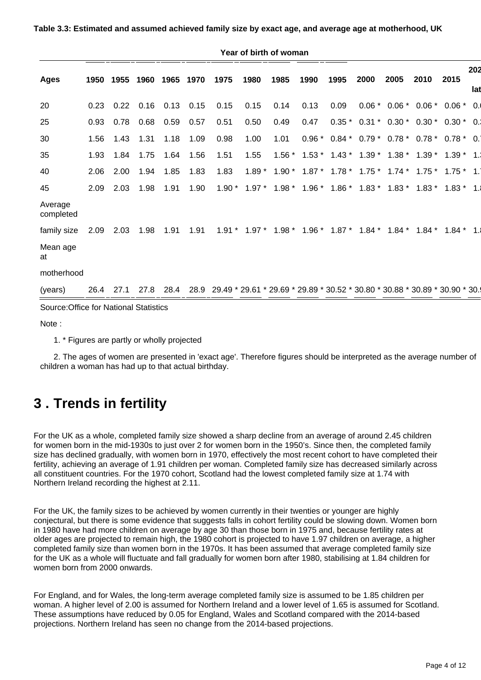#### **Table 3.3: Estimated and assumed achieved family size by exact age, and average age at motherhood, UK**

|                                        |      |      |           |      |      |                                                                                       | Year of birth of woman                                    |      |              |                                                        |      |      |                                          |                 |     |
|----------------------------------------|------|------|-----------|------|------|---------------------------------------------------------------------------------------|-----------------------------------------------------------|------|--------------|--------------------------------------------------------|------|------|------------------------------------------|-----------------|-----|
| <b>Ages</b>                            | 1950 |      | 1955 1960 | 1965 | 1970 | 1975                                                                                  | 1980                                                      | 1985 | 1990         | 1995                                                   | 2000 | 2005 | 2010                                     | 2015            | 202 |
|                                        |      |      |           |      |      |                                                                                       |                                                           |      |              |                                                        |      |      |                                          |                 | lat |
| 20                                     | 0.23 | 0.22 | 0.16      | 0.13 | 0.15 | 0.15                                                                                  | 0.15                                                      | 0.14 | 0.13         | 0.09                                                   |      |      | $0.06 * 0.06 * 0.06 * 0.06 *$            |                 | 0.0 |
| 25                                     | 0.93 | 0.78 | 0.68      | 0.59 | 0.57 | 0.51                                                                                  | 0.50                                                      | 0.49 | 0.47         |                                                        |      |      | $0.35 * 0.31 * 0.30 * 0.30 * 0.30 *$     |                 | 0.1 |
| 30                                     | 1.56 | 1.43 | 1.31      | 1.18 | 1.09 | 0.98                                                                                  | 1.00                                                      | 1.01 | $0.96*$      |                                                        |      |      | $0.84 * 0.79 * 0.78 * 0.78 * 0.78 * 0.1$ |                 |     |
| 35                                     | 1.93 | 1.84 | 1.75      | 1.64 | 1.56 | 1.51                                                                                  | 1.55                                                      |      | $1.56*1.53*$ |                                                        |      |      | $1.43 * 1.39 * 1.38 * 1.39 *$            | $1.39*$         | 1.1 |
| 40                                     | 2.06 | 2.00 | 1.94      | 1.85 | 1.83 | 1.83                                                                                  | $1.89*$                                                   |      |              | $1.90 * 1.87 * 1.78 * 1.75 * 1.74 * 1.75 * 1.75 * 1.1$ |      |      |                                          |                 |     |
| 45                                     | 2.09 | 2.03 | 1.98      | 1.91 | 1.90 | $1.90*$                                                                               | $1.97*$                                                   |      |              | $1.98 * 1.96 * 1.86 * 1.83 * 1.83 * 1.83 *$            |      |      |                                          | $1.83 * 1.1$    |     |
| Average<br>completed                   |      |      |           |      |      |                                                                                       |                                                           |      |              |                                                        |      |      |                                          |                 |     |
| family size                            | 2.09 | 2.03 | 1.98      | 1.91 | 1.91 |                                                                                       | $1.91 * 1.97 * 1.98 * 1.96 * 1.87 * 1.84 * 1.84 * 1.84 *$ |      |              |                                                        |      |      |                                          | 1.84 $^{\star}$ | 1.1 |
| Mean age<br>at                         |      |      |           |      |      |                                                                                       |                                                           |      |              |                                                        |      |      |                                          |                 |     |
| motherhood                             |      |      |           |      |      |                                                                                       |                                                           |      |              |                                                        |      |      |                                          |                 |     |
| (years)                                | 26.4 | 27.1 | 27.8      |      |      | 28.4 28.9 29.49 * 29.61 * 29.69 * 29.89 * 30.52 * 30.80 * 30.88 * 30.89 * 30.90 * 30. |                                                           |      |              |                                                        |      |      |                                          |                 |     |
| Source: Office for National Statistics |      |      |           |      |      |                                                                                       |                                                           |      |              |                                                        |      |      |                                          |                 |     |
| $\cdots$                               |      |      |           |      |      |                                                                                       |                                                           |      |              |                                                        |      |      |                                          |                 |     |

Note :

1. \* Figures are partly or wholly projected

 2. The ages of women are presented in 'exact age'. Therefore figures should be interpreted as the average number of children a woman has had up to that actual birthday.

### <span id="page-3-0"></span>**3 . Trends in fertility**

For the UK as a whole, completed family size showed a sharp decline from an average of around 2.45 children for women born in the mid-1930s to just over 2 for women born in the 1950's. Since then, the completed family size has declined gradually, with women born in 1970, effectively the most recent cohort to have completed their fertility, achieving an average of 1.91 children per woman. Completed family size has decreased similarly across all constituent countries. For the 1970 cohort, Scotland had the lowest completed family size at 1.74 with Northern Ireland recording the highest at 2.11.

For the UK, the family sizes to be achieved by women currently in their twenties or younger are highly conjectural, but there is some evidence that suggests falls in cohort fertility could be slowing down. Women born in 1980 have had more children on average by age 30 than those born in 1975 and, because fertility rates at older ages are projected to remain high, the 1980 cohort is projected to have 1.97 children on average, a higher completed family size than women born in the 1970s. It has been assumed that average completed family size for the UK as a whole will fluctuate and fall gradually for women born after 1980, stabilising at 1.84 children for women born from 2000 onwards.

For England, and for Wales, the long-term average completed family size is assumed to be 1.85 children per woman. A higher level of 2.00 is assumed for Northern Ireland and a lower level of 1.65 is assumed for Scotland. These assumptions have reduced by 0.05 for England, Wales and Scotland compared with the 2014-based projections. Northern Ireland has seen no change from the 2014-based projections.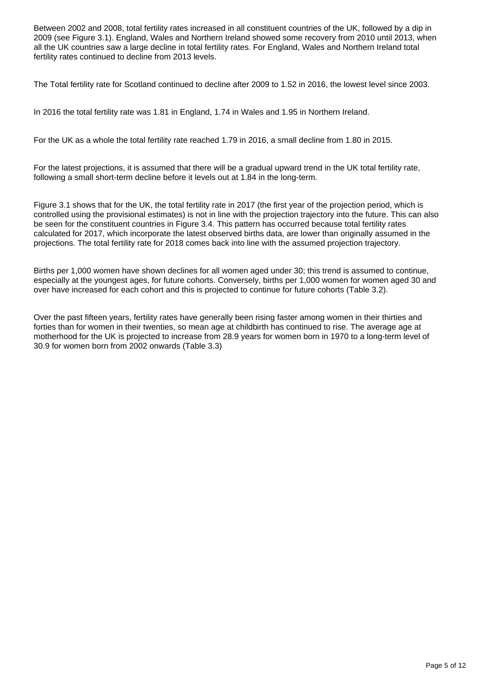Between 2002 and 2008, total fertility rates increased in all constituent countries of the UK, followed by a dip in 2009 (see Figure 3.1). England, Wales and Northern Ireland showed some recovery from 2010 until 2013, when all the UK countries saw a large decline in total fertility rates. For England, Wales and Northern Ireland total fertility rates continued to decline from 2013 levels.

The Total fertility rate for Scotland continued to decline after 2009 to 1.52 in 2016, the lowest level since 2003.

In 2016 the total fertility rate was 1.81 in England, 1.74 in Wales and 1.95 in Northern Ireland.

For the UK as a whole the total fertility rate reached 1.79 in 2016, a small decline from 1.80 in 2015.

For the latest projections, it is assumed that there will be a gradual upward trend in the UK total fertility rate, following a small short-term decline before it levels out at 1.84 in the long-term.

Figure 3.1 shows that for the UK, the total fertility rate in 2017 (the first year of the projection period, which is controlled using the provisional estimates) is not in line with the projection trajectory into the future. This can also be seen for the constituent countries in Figure 3.4. This pattern has occurred because total fertility rates calculated for 2017, which incorporate the latest observed births data, are lower than originally assumed in the projections. The total fertility rate for 2018 comes back into line with the assumed projection trajectory.

Births per 1,000 women have shown declines for all women aged under 30; this trend is assumed to continue, especially at the youngest ages, for future cohorts. Conversely, births per 1,000 women for women aged 30 and over have increased for each cohort and this is projected to continue for future cohorts (Table 3.2).

Over the past fifteen years, fertility rates have generally been rising faster among women in their thirties and forties than for women in their twenties, so mean age at childbirth has continued to rise. The average age at motherhood for the UK is projected to increase from 28.9 years for women born in 1970 to a long-term level of 30.9 for women born from 2002 onwards (Table 3.3)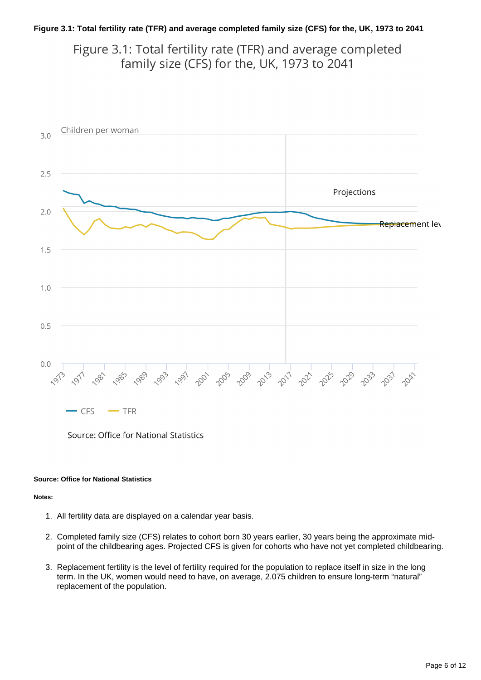#### **Figure 3.1: Total fertility rate (TFR) and average completed family size (CFS) for the, UK, 1973 to 2041**

Figure 3.1: Total fertility rate (TFR) and average completed family size (CFS) for the, UK, 1973 to 2041



Source: Office for National Statistics

#### **Source: Office for National Statistics**

#### **Notes:**

- 1. All fertility data are displayed on a calendar year basis.
- 2. Completed family size (CFS) relates to cohort born 30 years earlier, 30 years being the approximate midpoint of the childbearing ages. Projected CFS is given for cohorts who have not yet completed childbearing.
- 3. Replacement fertility is the level of fertility required for the population to replace itself in size in the long term. In the UK, women would need to have, on average, 2.075 children to ensure long-term "natural" replacement of the population.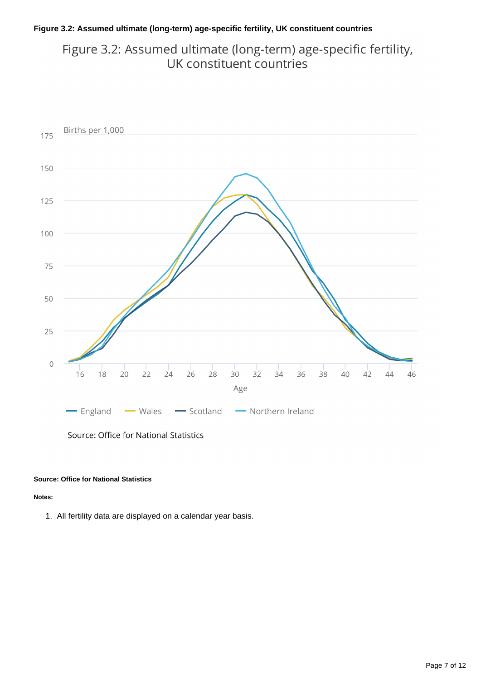#### **Figure 3.2: Assumed ultimate (long-term) age-specific fertility, UK constituent countries**

### Figure 3.2: Assumed ultimate (long-term) age-specific fertility, UK constituent countries



Source: Office for National Statistics

#### **Source: Office for National Statistics**

#### **Notes:**

1. All fertility data are displayed on a calendar year basis.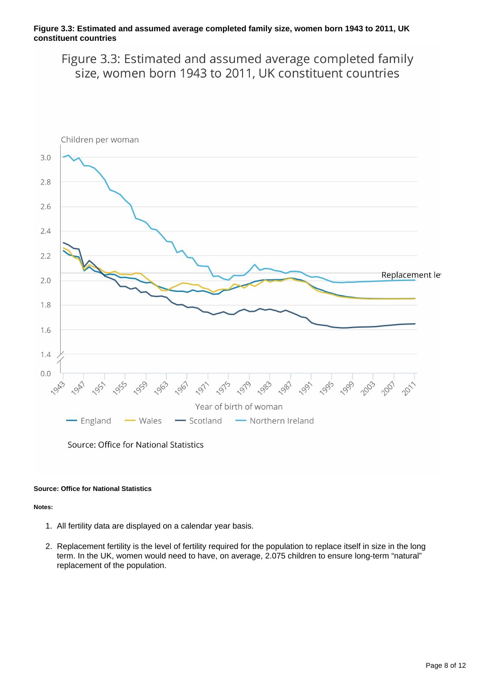#### **Figure 3.3: Estimated and assumed average completed family size, women born 1943 to 2011, UK constituent countries**

Figure 3.3: Estimated and assumed average completed family size, women born 1943 to 2011, UK constituent countries



Source: Office for National Statistics

#### **Source: Office for National Statistics**

**Notes:**

- 1. All fertility data are displayed on a calendar year basis.
- 2. Replacement fertility is the level of fertility required for the population to replace itself in size in the long term. In the UK, women would need to have, on average, 2.075 children to ensure long-term "natural" replacement of the population.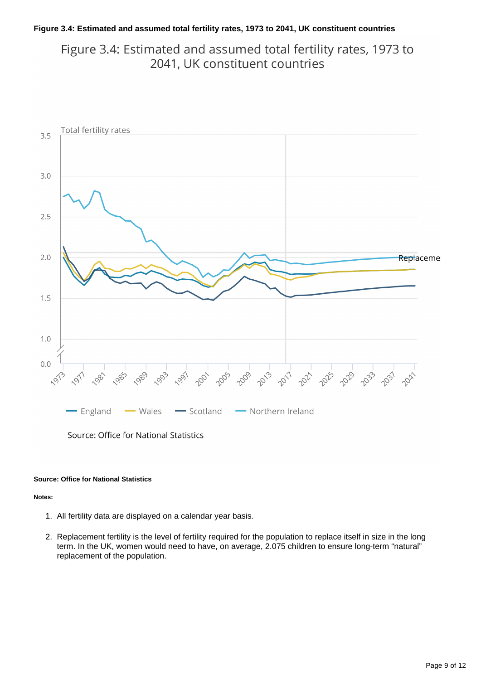#### **Figure 3.4: Estimated and assumed total fertility rates, 1973 to 2041, UK constituent countries**

Figure 3.4: Estimated and assumed total fertility rates, 1973 to 2041, UK constituent countries



#### **Source: Office for National Statistics**

#### **Notes:**

- 1. All fertility data are displayed on a calendar year basis.
- 2. Replacement fertility is the level of fertility required for the population to replace itself in size in the long term. In the UK, women would need to have, on average, 2.075 children to ensure long-term "natural" replacement of the population.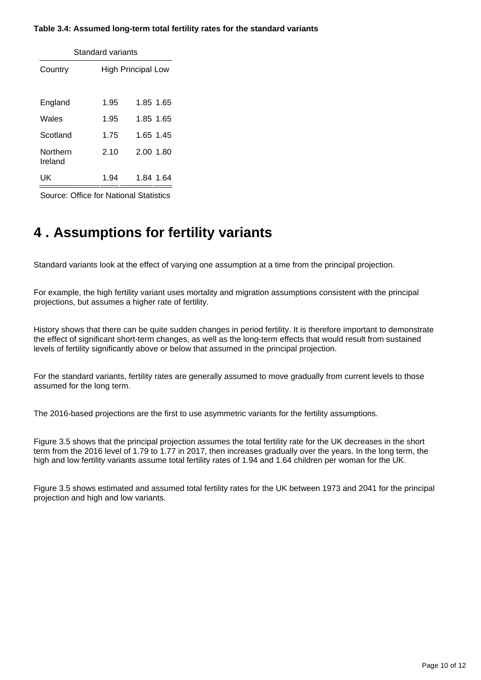#### **Table 3.4: Assumed long-term total fertility rates for the standard variants**

| Standard variants   |                           |           |  |  |  |  |  |  |  |
|---------------------|---------------------------|-----------|--|--|--|--|--|--|--|
| Country             | <b>High Principal Low</b> |           |  |  |  |  |  |  |  |
| England             | 1.95                      | 1.85 1.65 |  |  |  |  |  |  |  |
| Wales               | 1.95                      | 1.85 1.65 |  |  |  |  |  |  |  |
| Scotland            | 1.75                      | 1.65 1.45 |  |  |  |  |  |  |  |
| Northern<br>Ireland | 2.10                      | 2.00 1.80 |  |  |  |  |  |  |  |
| UK                  | 1.94                      |           |  |  |  |  |  |  |  |

Source: Office for National Statistics

### <span id="page-9-0"></span>**4 . Assumptions for fertility variants**

Standard variants look at the effect of varying one assumption at a time from the principal projection.

For example, the high fertility variant uses mortality and migration assumptions consistent with the principal projections, but assumes a higher rate of fertility.

History shows that there can be quite sudden changes in period fertility. It is therefore important to demonstrate the effect of significant short-term changes, as well as the long-term effects that would result from sustained levels of fertility significantly above or below that assumed in the principal projection.

For the standard variants, fertility rates are generally assumed to move gradually from current levels to those assumed for the long term.

The 2016-based projections are the first to use asymmetric variants for the fertility assumptions.

Figure 3.5 shows that the principal projection assumes the total fertility rate for the UK decreases in the short term from the 2016 level of 1.79 to 1.77 in 2017, then increases gradually over the years. In the long term, the high and low fertility variants assume total fertility rates of 1.94 and 1.64 children per woman for the UK.

Figure 3.5 shows estimated and assumed total fertility rates for the UK between 1973 and 2041 for the principal projection and high and low variants.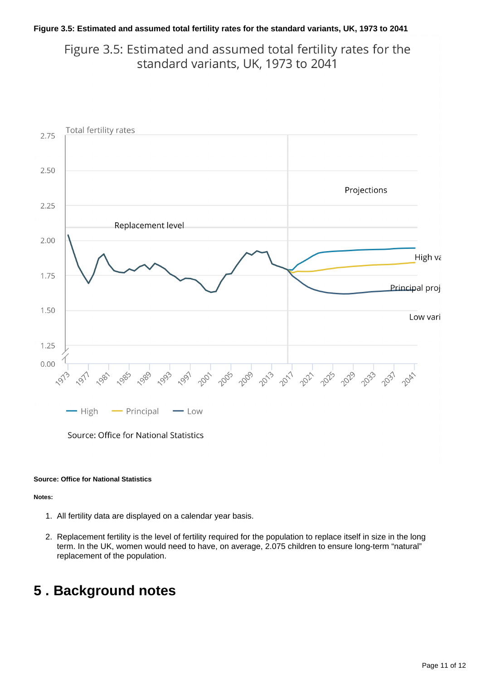#### **Figure 3.5: Estimated and assumed total fertility rates for the standard variants, UK, 1973 to 2041**

Figure 3.5: Estimated and assumed total fertility rates for the standard variants, UK, 1973 to 2041



Source: Office for National Statistics

#### **Source: Office for National Statistics**

#### **Notes:**

- 1. All fertility data are displayed on a calendar year basis.
- 2. Replacement fertility is the level of fertility required for the population to replace itself in size in the long term. In the UK, women would need to have, on average, 2.075 children to ensure long-term "natural" replacement of the population.

# <span id="page-10-0"></span>**5 . Background notes**